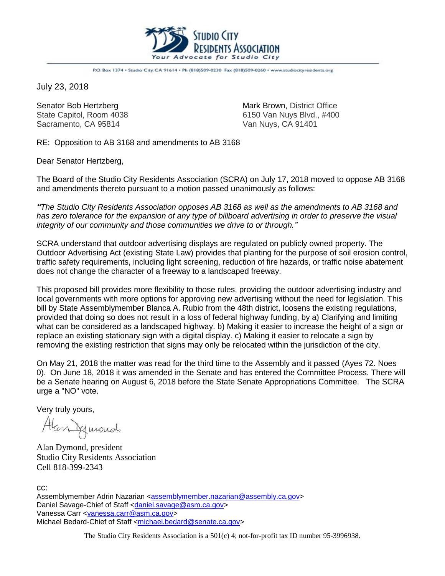

P.O. Box 1374 . Studio City, CA 91614 . Ph (818)509-0230 Fax (818)509-0260 . www.studiocityresidents.org

July 23, 2018

Sacramento, CA 95814 Van Nuys, CA 91401

Senator Bob Hertzberg Mark Brown, District Office State Capitol, Room 4038 6150 Van Nuys Blvd., #400

RE: Opposition to AB 3168 and amendments to AB 3168

Dear Senator Hertzberg,

The Board of the Studio City Residents Association (SCRA) on July 17, 2018 moved to oppose AB 3168 and amendments thereto pursuant to a motion passed unanimously as follows:

*"The Studio City Residents Association opposes AB 3168 as well as the amendments to AB 3168 and has zero tolerance for the expansion of any type of billboard advertising in order to preserve the visual integrity of our community and those communities we drive to or through."*

SCRA understand that outdoor advertising displays are regulated on publicly owned property. The Outdoor Advertising Act (existing State Law) provides that planting for the purpose of soil erosion control, traffic safety requirements, including light screening, reduction of fire hazards, or traffic noise abatement does not change the character of a freeway to a landscaped freeway.

This proposed bill provides more flexibility to those rules, providing the outdoor advertising industry and local governments with more options for approving new advertising without the need for legislation. This bill by State Assemblymember Blanca A. Rubio from the 48th district, loosens the existing regulations, provided that doing so does not result in a loss of federal highway funding, by a) Clarifying and limiting what can be considered as a landscaped highway. b) Making it easier to increase the height of a sign or replace an existing stationary sign with a digital display. c) Making it easier to relocate a sign by removing the existing restriction that signs may only be relocated within the jurisdiction of the city.

On May 21, 2018 the matter was read for the third time to the Assembly and it passed (Ayes 72. Noes 0). On June 18, 2018 it was amended in the Senate and has entered the Committee Process. There will be a Senate hearing on August 6, 2018 before the State Senate Appropriations Committee. The SCRA urge a "NO" vote.

Very truly yours,

Alan Jegunard,

Alan Dymond, president Studio City Residents Association Cell 818-399-2343

cc:

Assemblymember Adrin Nazarian [<assemblymember.nazarian@assembly.ca.gov>](mailto:assemblymember.nazarian@assembly.ca.gov) Daniel Savage-Chief of Staff [<daniel.savage@asm.ca.gov>](mailto:daniel.savage@asm.ca.gov) Vanessa Carr [<vanessa.carr@asm.ca.gov>](mailto:vanessa.carr@asm.ca.gov) Michael Bedard-Chief of Staff [<michael.bedard@senate.ca.gov>](mailto:michael.bedard@senate.ca.gov)

The Studio City Residents Association is a 501(c) 4; not-for-profit tax ID number 95-3996938.